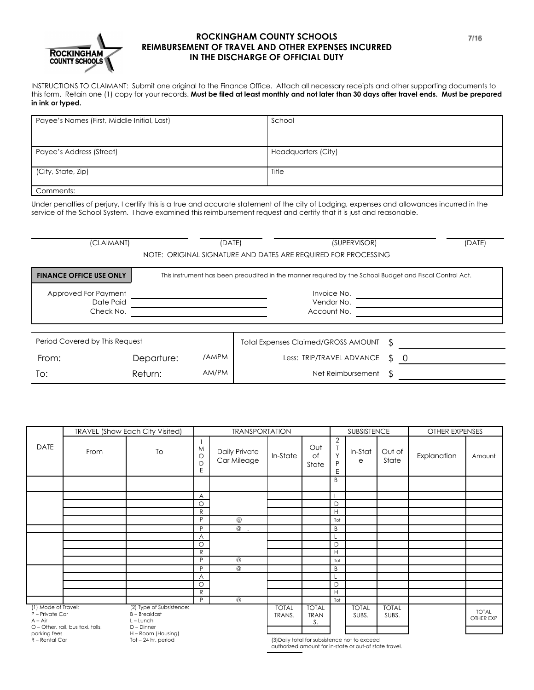

## **ROCKINGHAM COUNTY SCHOOLS REIMBURSEMENT OF TRAVEL AND OTHER EXPENSES INCURRED IN THE DISCHARGE OF OFFICIAL DUTY**

INSTRUCTIONS TO CLAIMANT: Submit one original to the Finance Office. Attach all necessary receipts and other supporting documents to this form. Retain one (1) copy for your records. Must be filed at least monthly and not later than 30 days after travel ends. Must be prepared **in ink or typed.**

| Payee's Names (First, Middle Initial, Last) | School              |  |  |  |  |  |
|---------------------------------------------|---------------------|--|--|--|--|--|
|                                             |                     |  |  |  |  |  |
|                                             |                     |  |  |  |  |  |
| Payee's Address (Street)                    | Headquarters (City) |  |  |  |  |  |
|                                             |                     |  |  |  |  |  |
| (City, State, Zip)                          | Title               |  |  |  |  |  |
|                                             |                     |  |  |  |  |  |
| Comments:                                   |                     |  |  |  |  |  |

Under penalties of perjury, I certify this is a true and accurate statement of the city of Lodging, expenses and allowances incurred in the service of the School System. I have examined this reimbursement request and certify that it is just and reasonable.

| (CLAIMANT)                     |                                                                                                         | (DATE) | (SUPERVISOR)                               |    | (DATE) |  |  |  |  |
|--------------------------------|---------------------------------------------------------------------------------------------------------|--------|--------------------------------------------|----|--------|--|--|--|--|
|                                | NOTE: ORIGINAL SIGNATURE AND DATES ARE REQUIRED FOR PROCESSING                                          |        |                                            |    |        |  |  |  |  |
| <b>FINANCE OFFICE USE ONLY</b> | This instrument has been preaudited in the manner required by the School Budget and Fiscal Control Act. |        |                                            |    |        |  |  |  |  |
| Approved For Payment           |                                                                                                         |        | Invoice No.                                |    |        |  |  |  |  |
| Date Paid                      |                                                                                                         |        | Vendor No.<br>Account No.                  |    |        |  |  |  |  |
| Check No.                      |                                                                                                         |        |                                            |    |        |  |  |  |  |
|                                |                                                                                                         |        |                                            |    |        |  |  |  |  |
| Period Covered by This Request |                                                                                                         |        | <b>Total Expenses Claimed/GROSS AMOUNT</b> | ß. |        |  |  |  |  |
| From:                          | Departure:                                                                                              | /AMPM  | Less: TRIP/TRAVEL ADVANCE                  | \$ | -0     |  |  |  |  |
| To:                            | Return:                                                                                                 | AM/PM  | Net Reimbursement                          | ß. |        |  |  |  |  |

|                                                     | TRAVEL (Show Each City Visited)   | <b>TRANSPORTATION</b>                                                         |                         |                              |                        |                                   | <b>SUBSISTENCE</b>            |                                                                                                         | OTHER EXPENSES        |             |                           |
|-----------------------------------------------------|-----------------------------------|-------------------------------------------------------------------------------|-------------------------|------------------------------|------------------------|-----------------------------------|-------------------------------|---------------------------------------------------------------------------------------------------------|-----------------------|-------------|---------------------------|
| <b>DATE</b>                                         | From                              | To                                                                            | M<br>O<br>D<br>E        | Daily Private<br>Car Mileage | In-State               | Out<br>of<br>State                | $\overline{2}$<br>Y<br>P<br>E | In-Stat<br>е                                                                                            | Out of<br>State       | Explanation | Amount                    |
|                                                     |                                   |                                                                               |                         |                              |                        |                                   | B                             |                                                                                                         |                       |             |                           |
|                                                     |                                   |                                                                               | $\overline{\mathsf{A}}$ |                              |                        |                                   |                               |                                                                                                         |                       |             |                           |
|                                                     |                                   |                                                                               | $\circ$                 |                              |                        |                                   | D                             |                                                                                                         |                       |             |                           |
|                                                     |                                   |                                                                               | $\mathsf{R}$            |                              |                        |                                   | H                             |                                                                                                         |                       |             |                           |
|                                                     |                                   |                                                                               | P                       | $^{\copyright}$              |                        |                                   | Tot                           |                                                                                                         |                       |             |                           |
|                                                     |                                   |                                                                               | P                       | $^{\copyright}$<br>- 1       |                        |                                   | B                             |                                                                                                         |                       |             |                           |
|                                                     |                                   |                                                                               | A                       |                              |                        |                                   |                               |                                                                                                         |                       |             |                           |
|                                                     |                                   |                                                                               | $\circ$                 |                              |                        |                                   | D                             |                                                                                                         |                       |             |                           |
|                                                     |                                   |                                                                               | $\mathsf{R}$            |                              |                        |                                   | H                             |                                                                                                         |                       |             |                           |
|                                                     |                                   |                                                                               | P                       | $^\copyright$                |                        |                                   | Tot                           |                                                                                                         |                       |             |                           |
|                                                     |                                   |                                                                               | P                       | $\overline{a}$               |                        |                                   | B                             |                                                                                                         |                       |             |                           |
|                                                     |                                   |                                                                               | A                       |                              |                        |                                   | L                             |                                                                                                         |                       |             |                           |
|                                                     |                                   |                                                                               | $\circ$                 |                              |                        |                                   | D                             |                                                                                                         |                       |             |                           |
|                                                     |                                   |                                                                               | $\mathsf{R}$            |                              |                        |                                   | H                             |                                                                                                         |                       |             |                           |
|                                                     |                                   |                                                                               | P                       | $\circleda$                  |                        |                                   | Tot                           |                                                                                                         |                       |             |                           |
| (1) Mode of Travel:<br>P - Private Car<br>$A - Air$ |                                   | (2) Type of Subsistence:<br><b>B</b> – Breakfast<br>$L$ – Lunch<br>D - Dinner |                         |                              | <b>TOTAL</b><br>TRANS. | <b>TOTAL</b><br><b>TRAN</b><br>S. |                               | <b>TOTAL</b><br>SUBS.                                                                                   | <b>TOTAL</b><br>SUBS. |             | <b>TOTAL</b><br>OTHER EXP |
| parking fees                                        | O - Other, rail, bus taxi, tolls, | H - Room (Housing)                                                            |                         |                              |                        |                                   |                               |                                                                                                         |                       |             |                           |
| R - Rental Car                                      |                                   | Tot - 24 hr. period                                                           |                         |                              |                        |                                   |                               | (3) Daily total for subsistence not to exceed<br>authorized amount for in-state or out-of state travel. |                       |             |                           |